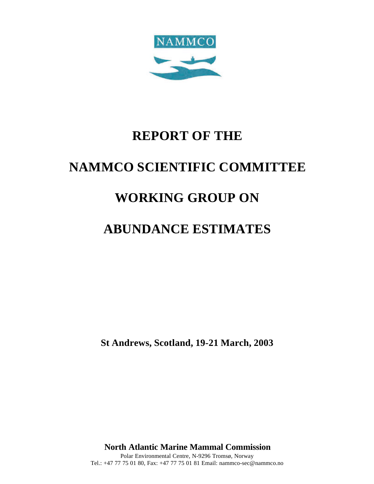

# **REPORT OF THE**

# **NAMMCO SCIENTIFIC COMMITTEE**

# **WORKING GROUP ON**

# **ABUNDANCE ESTIMATES**

**St Andrews, Scotland, 19-21 March, 2003**

**North Atlantic Marine Mammal Commission** Polar Environmental Centre, N-9296 Tromsø, Norway Tel.: +47 77 75 01 80, Fax: +47 77 75 01 81 Email: nammco-sec@nammco.no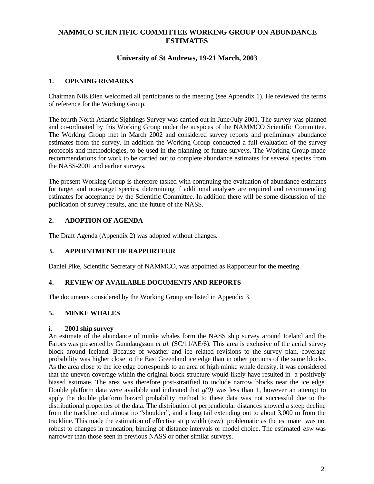# **NAMMCO SCIENTIFIC COMMITTEE WORKING GROUP ON ABUNDANCE ESTIMATES**

# **University of St Andrews, 19-21 March, 2003**

## **1. OPENING REMARKS**

Chairman Nils Øien welcomed all participants to the meeting (see Appendix 1). He reviewed the terms of reference for the Working Group.

The fourth North Atlantic Sightings Survey was carried out in June/July 2001. The survey was planned and co-ordinated by this Working Group under the auspices of the NAMMCO Scientific Committee. The Working Group met in March 2002 and considered survey reports and preliminary abundance estimates from the survey. In addition the Working Group conducted a full evaluation of the survey protocols and methodologies, to be used in the planning of future surveys. The Working Group made recommendations for work to be carried out to complete abundance estimates for several species from the NASS-2001 and earlier surveys.

The present Working Group is therefore tasked with continuing the evaluation of abundance estimates for target and non-target species, determining if additional analyses are required and recommending estimates for acceptance by the Scientific Committee. In addition there will be some discussion of the publication of survey results, and the future of the NASS.

## **2. ADOPTION OF AGENDA**

The Draft Agenda (Appendix 2) was adopted without changes.

## **3. APPOINTMENT OF RAPPORTEUR**

Daniel Pike, Scientific Secretary of NAMMCO, was appointed as Rapporteur for the meeting.

## **4. REVIEW OF AVAILABLE DOCUMENTS AND REPORTS**

The documents considered by the Working Group are listed in Appendix 3.

## **5. MINKE WHALES**

#### **i. 2001 ship survey**

An estimate of the abundance of minke whales form the NASS ship survey around Iceland and the Faroes was presented by Gunnlaugsson *et al*. (SC/11/AE/6). This area is exclusive of the aerial survey block around Iceland. Because of weather and ice related revisions to the survey plan, coverage probability was higher close to the East Greenland ice edge than in other portions of the same blocks. As the area close to the ice edge corresponds to an area of high minke whale density, it was considered that the uneven coverage within the original block structure would likely have resulted in a positively biased estimate. The area was therefore post-stratified to include narrow blocks near the ice edge. Double platform data were available and indicated that *g(0)* was less than 1, however an attempt to apply the double platform hazard probability method to these data was not successful due to the distributional properties of the data. The distribution of perpendicular distances showed a steep decline from the trackline and almost no "shoulder", and a long tail extending out to about 3,000 m from the trackline. This made the estimation of effective strip width (esw) problematic as the estimate was not robust to changes in truncation, binning of distance intervals or model choice. The estimated *esw* was narrower than those seen in previous NASS or other similar surveys.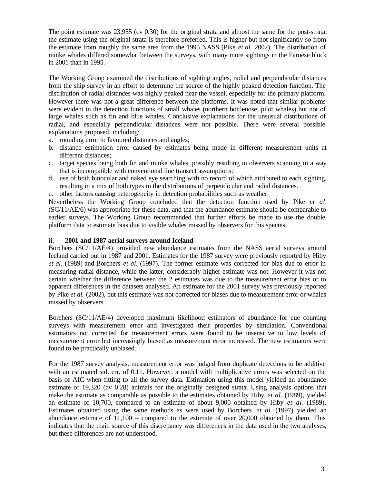The point estimate was 23,955 (cv 0.30) for the original strata and almost the same for the post-strata: the estimate using the original strata is therefore preferred. This is higher but not significantly so from the estimate from roughly the same area from the 1995 NASS (Pike *et al.* 2002). The distribution of minke whales differed somewhat between the surveys, with many more sightings in the Faroese block in 2001 than in 1995.

The Working Group examined the distributions of sighting angles, radial and perpendicular distances from the ship survey in an effort to determine the source of the highly peaked detection function. The distribution of radial distances was highly peaked near the vessel, especially for the primary platform. However there was not a great difference between the platforms. It was noted that similar problems were evident in the detection functions of small whales (northern bottlenose, pilot whales) but not of large whales such as fin and blue whales. Conclusive explanations for the unsusual distributions of radial, and especially perpendicular distances were not possible. There were several possible explanations proposed, including:

- a. rounding error to favoured distances and angles;
- b. distance estimation error caused by estimates being made in different measurement units at different distances;
- c. target species being both fin and minke whales, possibly resulting in observers scanning in a way that is incompatible with conventional line transect assumptions;
- d. use of both binocular and naked eye searching with no record of which attributed to each sighting, resulting in a mix of both types in the distributions of perpendicular and radial distances.
- e. other factors causing heterogeneity in detection probabilities such as weather.

Nevertheless the Working Group concluded that the detection function used by Pike *et al*. (SC/11/AE/6) was appropriate for these data, and that the abundance estimate should be comparable to earlier surveys. The Working Group recommended that further efforts be made to use the double platform data to estimate bias due to visible whales missed by observers for this species.

#### **ii. 2001 and 1987 aerial surveys around Iceland**

Borchers (SC/11/AE/4) provided new abundance estimates from the NASS aerial surveys around Iceland carried out in 1987 and 2001. Estimates for the 1987 survey were previously reported by Hiby *et al.* (1989) and Borchers *et al.* (1997). The former estimate was corrected for bias due to error in measuring radial distance, while the latter, considerably higher estimate was not. However it was not certain whether the difference between the 2 estimates was due to the measurement error bias or to apparent differences in the datasets analysed. An estimate for the 2001 survey was previously reported by Pike *et al.* (2002), but this estimate was not corrected for biases due to measurement error or whales missed by observers.

Borchers (SC/11/AE/4) developed maximum likelihood estimators of abundance for cue counting surveys with measurement error and investigated their properties by simulation. Conventional estimators not corrected for measurement errors were found to be insensitive to low levels of measurement error but increasingly biased as measurement error increased. The new estimators were found to be practically unbiased.

For the 1987 survey analysis, measurement error was judged from duplicate detections to be additive with an estimated std. err. of 0.11. However, a model with multiplicative errors was selected on the basis of AIC when fitting to all the survey data. Estimation using this model yielded an abundance estimate of 19,320 (cv 0.28) animals for the originally designed strata. Using analysis options that make the estimate as comparable as possible to the estimates obtained by Hiby *et al*. (1989), yielded an estimate of 10,700, compared to an estimate of about 9,000 obtained by Hiby *et al*. (1989). Estimates obtained using the same methods as were used by Borchers *et al*. (1997) yielded an abundance estimate of  $11,100$  – compared to the estimate of over  $20,000$  obtained by them. This indicates that the main source of this discrepancy was differences in the data used in the two analyses, but these differences are not understood.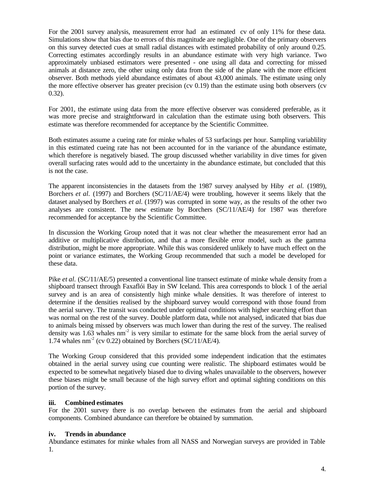For the 2001 survey analysis, measurement error had an estimated cv of only 11% for these data. Simulations show that bias due to errors of this magnitude are negligible. One of the primary observers on this survey detected cues at small radial distances with estimated probability of only around 0.25. Correcting estimates accordingly results in an abundance estimate with very high variance. Two approximately unbiased estimators were presented - one using all data and correcting for missed animals at distance zero, the other using only data from the side of the plane with the more efficient observer. Both methods yield abundance estimates of about 43,000 animals. The estimate using only the more effective observer has greater precision (cv  $0.19$ ) than the estimate using both observers (cv 0.32).

For 2001, the estimate using data from the more effective observer was considered preferable, as it was more precise and straightforward in calculation than the estimate using both observers. This estimate was therefore recommended for acceptance by the Scientific Committee.

Both estimates assume a cueing rate for minke whales of 53 surfacings per hour. Sampling variablility in this estimated cueing rate has not been accounted for in the variance of the abundance estimate, which therefore is negatively biased. The group discussed whether variability in dive times for given overall surfacing rates would add to the uncertainty in the abundance estimate, but concluded that this is not the case.

The apparent inconsistencies in the datasets from the 1987 survey analysed by Hiby *et al.* (1989), Borchers *et al.* (1997) and Borchers (SC/11/AE/4) were troubling, however it seems likely that the dataset analysed by Borchers *et al.* (1997) was corrupted in some way, as the results of the other two analyses are consistent. The new estimate by Borchers (SC/11/AE/4) for 1987 was therefore recommended for acceptance by the Scientific Committee.

In discussion the Working Group noted that it was not clear whether the measurement error had an additive or multiplicative distribution, and that a more flexible error model, such as the gamma distribution, might be more appropriate. While this was considered unlikely to have much effect on the point or variance estimates, the Working Group recommended that such a model be developed for these data.

Pike *et al.* (SC/11/AE/5) presented a conventional line transect estimate of minke whale density from a shipboard transect through Faxaflói Bay in SW Iceland. This area corresponds to block 1 of the aerial survey and is an area of consistently high minke whale densities. It was therefore of interest to determine if the densities realised by the shipboard survey would correspond with those found from the aerial survey. The transit was conducted under optimal conditions with higher searching effort than was normal on the rest of the survey. Double platform data, while not analysed, indicated that bias due to animals being missed by observers was much lower than during the rest of the survey. The realised density was  $1.63$  whales nm<sup>-2</sup> is very similar to estimate for the same block from the aerial survey of 1.74 whales  $nm^{-2}$  (cv 0.22) obtained by Borchers (SC/11/AE/4).

The Working Group considered that this provided some independent indication that the estimates obtained in the aerial survey using cue counting were realistic. The shipboard estimates would be expected to be somewhat negatively biased due to diving whales unavailable to the observers, however these biases might be small because of the high survey effort and optimal sighting conditions on this portion of the survey.

#### **iii. Combined estimates**

For the 2001 survey there is no overlap between the estimates from the aerial and shipboard components. Combined abundance can therefore be obtained by summation.

#### **iv. Trends in abundance**

Abundance estimates for minke whales from all NASS and Norwegian surveys are provided in Table 1.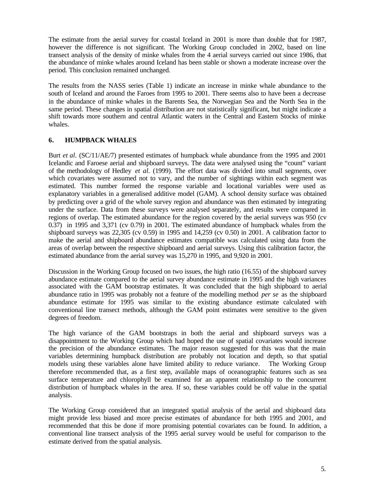The estimate from the aerial survey for coastal Iceland in 2001 is more than double that for 1987, however the difference is not significant. The Working Group concluded in 2002, based on line transect analysis of the density of minke whales from the 4 aerial surveys carried out since 1986, that the abundance of minke whales around Iceland has been stable or shown a moderate increase over the period. This conclusion remained unchanged.

The results from the NASS series (Table 1) indicate an increase in minke whale abundance to the south of Iceland and around the Faroes from 1995 to 2001. There seems also to have been a decrease in the abundance of minke whales in the Barents Sea, the Norwegian Sea and the North Sea in the same period. These changes in spatial distribution are not statistically significant, but might indicate a shift towards more southern and central Atlantic waters in the Central and Eastern Stocks of minke whales.

## **6. HUMPBACK WHALES**

Burt *et al.* (SC/11/AE/7) presented estimates of humpback whale abundance from the 1995 and 2001 Icelandic and Faroese aerial and shipboard surveys. The data were analysed using the "count" variant of the methodology of Hedley *et al.* (1999). The effort data was divided into small segments, over which covariates were assumed not to vary, and the number of sightings within each segment was estimated. This number formed the response variable and locational variables were used as explanatory variables in a generalised additive model (GAM). A school density surface was obtained by predicting over a grid of the whole survey region and abundance was then estimated by integrating under the surface. Data from these surveys were analysed separately, and results were compared in regions of overlap. The estimated abundance for the region covered by the aerial surveys was 950 (cv 0.37)) in 1995 and 3,371 (cv 0.79) in 2001. The estimated abundance of humpback whales from the shipboard surveys was 22,305 (cv 0.59) in 1995 and 14,259 (cv 0.50) in 2001. A calibration factor to make the aerial and shipboard abundance estimates compatible was calculated using data from the areas of overlap between the respective shipboard and aerial surveys. Using this calibration factor, the estimated abundance from the aerial survey was 15,270 in 1995, and 9,920 in 2001.

Discussion in the Working Group focused on two issues, the high ratio (16.55) of the shipboard survey abundance estimate compared to the aerial survey abundance estimate in 1995 and the high variances associated with the GAM bootstrap estimates. It was concluded that the high shipboard to aerial abundance ratio in 1995 was probably not a feature of the modelling method *per se* as the shipboard abundance estimate for 1995 was similar to the existing abundance estimate calculated with conventional line transect methods, although the GAM point estimates were sensitive to the given degrees of freedom.

The high variance of the GAM bootstraps in both the aerial and shipboard surveys was a disappointment to the Working Group which had hoped the use of spatial covariates would increase the precision of the abundance estimates. The major reason suggested for this was that the main variables determining humpback distribution are probably not location and depth, so that spatial models using these variables alone have limited ability to reduce variance. The Working Group therefore recommended that, as a first step, available maps of oceanographic features such as sea surface temperature and chlorophyll be examined for an apparent relationship to the concurrent distribution of humpback whales in the area. If so, these variables could be off value in the spatial analysis.

The Working Group considered that an integrated spatial analysis of the aerial and shipboard data might provide less biased and more precise estimates of abundance for both 1995 and 2001, and recommended that this be done if more promising potential covariates can be found. In addition, a conventional line transect analysis of the 1995 aerial survey would be useful for comparison to the estimate derived from the spatial analysis.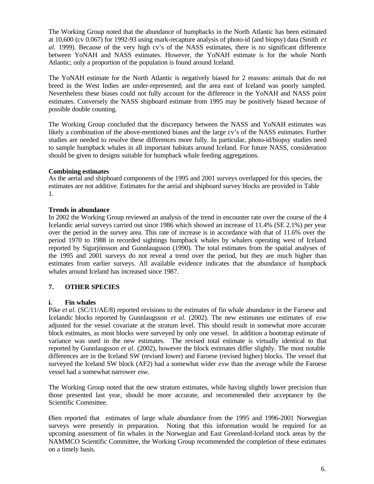The Working Group noted that the abundance of humpbacks in the North Atlantic has been estimated at 10,600 (cv 0.067) for 1992-93 using mark-recapture analysis of photo-id (and biopsy) data (Smith *et al.* 1999). Because of the very high cv's of the NASS estimates, there is no significant difference between YoNAH and NASS estimates. However, the YoNAH estimate is for the whole North Atlantic; only a proportion of the population is found around Iceland.

The YoNAH estimate for the North Atlantic is negatively biased for 2 reasons: animals that do not breed in the West Indies are under-represented; and the area east of Iceland was poorly sampled. Nevertheless these biases could not fully account for the difference in the YoNAH and NASS point estimates. Conversely the NASS shipboard estimate from 1995 may be positively biased because of possible double counting.

The Working Group concluded that the discrepancy between the NASS and YoNAH estimates was likely a combination of the above-mentioned biases and the large cv's of the NASS estimates. Further studies are needed to resolve these differences more fully. In particular, photo-id/biopsy studies need to sample humpback whales in all important habitats around Iceland. For future NASS, consideration should be given to designs suitable for humpback whale feeding aggregations.

## **Combining estimates**

As the aerial and shipboard components of the 1995 and 2001 surveys overlapped for this species, the estimates are not additive. Estimates for the aerial and shipboard survey blocks are provided in Table 1.

## **Trends in abundance**

In 2002 the Working Group reviewed an analysis of the trend in encounter rate over the course of the 4 Icelandic aerial surveys carried out since 1986 which showed an increase of 11.4% (SE 2.1%) per year over the period in the survey area. This rate of increase is in accordance with that of 11.6% over the period 1970 to 1988 in recorded sightings humpback whales by whalers operating west of Iceland reported by Sigurjónsson and Gunnlaugsson (1990). The total estimates from the spatial analyses of the 1995 and 2001 surveys do not reveal a trend over the period, but they are much higher than estimates from earlier surveys. All available evidence indicates that the abundance of humpback whales around Iceland has increased since 1987.

## **7. OTHER SPECIES**

#### **i. Fin whales**

Pike *et al.* (SC/11/AE/8) reported revisions to the estimates of fin whale abundance in the Faroese and Icelandic blocks reported by Gunnlaugsson *et al.* (2002). The new estimates use estimates of *esw* adjusted for the vessel covariate at the stratum level. This should result in somewhat more accurate block estimates, as most blocks were surveyed by only one vessel. In addition a bootstrap estimate of variance was used in the new estimates. The revised total estimate is virtually identical to that reported by Gunnlaugsson *et al.* (2002), however the block estimates differ slightly. The most notable differences are in the Iceland SW (revised lower) and Faroese (revised higher) blocks. The vessel that surveyed the Iceland SW block (AF2) had a somewhat wider *esw* than the average while the Faroese vessel had a somewhat narrower *esw*.

The Working Group noted that the new stratum estimates, while having slightly lower precision than those presented last year, should be more accurate, and recommended their acceptance by the Scientific Committee.

Øien reported that estimates of large whale abundance from the 1995 and 1996-2001 Norwegian surveys were presently in preparation. Noting that this information would be required for an upcoming assessment of fin whales in the Norwegian and East Greenland-Iceland stock areas by the NAMMCO Scientific Committee, the Working Group recommended the completion of these estimates on a timely basis.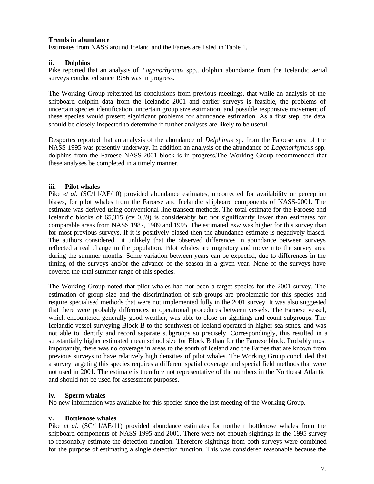## **Trends in abundance**

Estimates from NASS around Iceland and the Faroes are listed in Table 1.

## **ii. Dolphins**

Pike reported that an analysis of *Lagenorhyncus* spp.. dolphin abundance from the Icelandic aerial surveys conducted since 1986 was in progress.

The Working Group reiterated its conclusions from previous meetings, that while an analysis of the shipboard dolphin data from the Icelandic 2001 and earlier surveys is feasible, the problems of uncertain species identification, uncertain group size estimation, and possible responsive movement of these species would present significant problems for abundance estimation. As a first step, the data should be closely inspected to determine if further analyses are likely to be useful.

Desportes reported that an analysis of the abundance of *Delphinus* sp. from the Faroese area of the NASS-1995 was presently underway. In addition an analysis of the abundance of *Lagenorhyncus* spp. dolphins from the Faroese NASS-2001 block is in progress.The Working Group recommended that these analyses be completed in a timely manner.

## **iii. Pilot whales**

Pike *et al.* (SC/11/AE/10) provided abundance estimates, uncorrected for availability or perception biases, for pilot whales from the Faroese and Icelandic shipboard components of NASS-2001. The estimate was derived using conventional line transect methods. The total estimate for the Faroese and Icelandic blocks of 65,315 (cv 0.39) is considerably but not significantly lower than estimates for comparable areas from NASS 1987, 1989 and 1995. The estimated *esw* was higher for this survey than for most previous surveys. If it is positively biased then the abundance estimate is negatively biased. The authors considered it unlikely that the observed differences in abundance between surveys reflected a real change in the population. Pilot whales are migratory and move into the survey area during the summer months. Some variation between years can be expected, due to differences in the timing of the surveys and/or the advance of the season in a given year. None of the surveys have covered the total summer range of this species.

The Working Group noted that pilot whales had not been a target species for the 2001 survey. The estimation of group size and the discrimination of sub-groups are problematic for this species and require specialised methods that were not implemented fully in the 2001 survey. It was also suggested that there were probably differences in operational procedures between vessels. The Faroese vessel, which encountered generally good weather, was able to close on sightings and count subgroups. The Icelandic vessel surveying Block B to the southwest of Iceland operated in higher sea states, and was not able to identify and record separate subgroups so precisely. Correspondingly, this resulted in a substantially higher estimated mean school size for Block B than for the Faroese block. Probably most importantly, there was no coverage in areas to the south of Iceland and the Faroes that are known from previous surveys to have relatively high densities of pilot whales. The Working Group concluded that a survey targeting this species requires a different spatial coverage and special field methods that were not used in 2001. The estimate is therefore not representative of the numbers in the Northeast Atlantic and should not be used for assessment purposes.

#### **iv. Sperm whales**

No new information was available for this species since the last meeting of the Working Group.

## **v. Bottlenose whales**

Pike *et al.* (SC/11/AE/11) provided abundance estimates for northern bottlenose whales from the shipboard components of NASS 1995 and 2001. There were not enough sightings in the 1995 survey to reasonably estimate the detection function. Therefore sightings from both surveys were combined for the purpose of estimating a single detection function. This was considered reasonable because the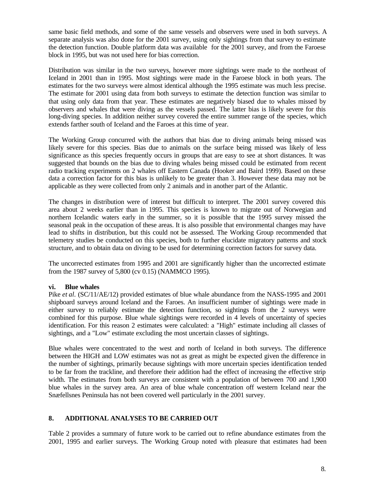same basic field methods, and some of the same vessels and observers were used in both surveys. A separate analysis was also done for the 2001 survey, using only sightings from that survey to estimate the detection function. Double platform data was available for the 2001 survey, and from the Faroese block in 1995, but was not used here for bias correction.

Distribution was similar in the two surveys, however more sightings were made to the northeast of Iceland in 2001 than in 1995. Most sightings were made in the Faroese block in both years. The estimates for the two surveys were almost identical although the 1995 estimate was much less precise. The estimate for 2001 using data from both surveys to estimate the detection function was similar to that using only data from that year. These estimates are negatively biased due to whales missed by observers and whales that were diving as the vessels passed. The latter bias is likely severe for this long-diving species. In addition neither survey covered the entire summer range of the species, which extends farther south of Iceland and the Faroes at this time of year.

The Working Group concurred with the authors that bias due to diving animals being missed was likely severe for this species. Bias due to animals on the surface being missed was likely of less significance as this species frequently occurs in groups that are easy to see at short distances. It was suggested that bounds on the bias due to diving whales being missed could be estimated from recent radio tracking experiments on 2 whales off Eastern Canada (Hooker and Baird 1999). Based on these data a correction factor for this bias is unlikely to be greater than 3. However these data may not be applicable as they were collected from only 2 animals and in another part of the Atlantic.

The changes in distribution were of interest but difficult to interpret. The 2001 survey covered this area about 2 weeks earlier than in 1995. This species is known to migrate out of Norwegian and northern Icelandic waters early in the summer, so it is possible that the 1995 survey missed the seasonal peak in the occupation of these areas. It is also possible that environmental changes may have lead to shifts in distribution, but this could not be assessed. The Working Group recommended that telemetry studies be conducted on this species, both to further elucidate migratory patterns and stock structure, and to obtain data on diving to be used for determining correction factors for survey data.

The uncorrected estimates from 1995 and 2001 are significantly higher than the uncorrected estimate from the 1987 survey of 5,800 (cv 0.15) (NAMMCO 1995).

#### **vi. Blue whales**

Pike *et al.* (SC/11/AE/12) provided estimates of blue whale abundance from the NASS-1995 and 2001 shipboard surveys around Iceland and the Faroes. An insufficient number of sightings were made in either survey to reliably estimate the detection function, so sightings from the 2 surveys were combined for this purpose. Blue whale sightings were recorded in 4 levels of uncertainty of species identification. For this reason 2 estimates were calculated: a "High" estimate including all classes of sightings, and a "Low" estimate excluding the most uncertain classes of sightings.

Blue whales were concentrated to the west and north of Iceland in both surveys. The difference between the HIGH and LOW estimates was not as great as might be expected given the difference in the number of sightings, primarily because sightings with more uncertain species identification tended to be far from the trackline, and therefore their addition had the effect of increasing the effective strip width. The estimates from both surveys are consistent with a population of between 700 and 1,900 blue whales in the survey area. An area of blue whale concentration off western Iceland near the Snæfellsnes Peninsula has not been covered well particularly in the 2001 survey.

## **8. ADDITIONAL ANALYSES TO BE CARRIED OUT**

Table 2 provides a summary of future work to be carried out to refine abundance estimates from the 2001, 1995 and earlier surveys. The Working Group noted with pleasure that estimates had been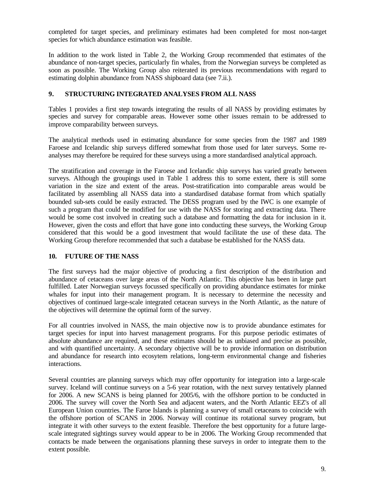completed for target species, and preliminary estimates had been completed for most non-target species for which abundance estimation was feasible.

In addition to the work listed in Table 2, the Working Group recommended that estimates of the abundance of non-target species, particularly fin whales, from the Norwegian surveys be completed as soon as possible. The Working Group also reiterated its previous recommendations with regard to estimating dolphin abundance from NASS shipboard data (see 7.ii.).

#### **9. STRUCTURING INTEGRATED ANALYSES FROM ALL NASS**

Tables 1 provides a first step towards integrating the results of all NASS by providing estimates by species and survey for comparable areas. However some other issues remain to be addressed to improve comparability between surveys.

The analytical methods used in estimating abundance for some species from the 1987 and 1989 Faroese and Icelandic ship surveys differed somewhat from those used for later surveys. Some reanalyses may therefore be required for these surveys using a more standardised analytical approach.

The stratification and coverage in the Faroese and Icelandic ship surveys has varied greatly between surveys. Although the groupings used in Table 1 address this to some extent, there is still some variation in the size and extent of the areas. Post-stratification into comparable areas would be facilitated by assembling all NASS data into a standardised database format from which spatially bounded sub-sets could be easily extracted. The DESS program used by the IWC is one example of such a program that could be modified for use with the NASS for storing and extracting data. There would be some cost involved in creating such a database and formatting the data for inclusion in it. However, given the costs and effort that have gone into conducting these surveys, the Working Group considered that this would be a good investment that would facilitate the use of these data. The Working Group therefore recommended that such a database be established for the NASS data.

#### **10. FUTURE OF THE NASS**

The first surveys had the major objective of producing a first description of the distribution and abundance of cetaceans over large areas of the North Atlantic. This objective has been in large part fulfilled. Later Norwegian surveys focussed specifically on providing abundance estimates for minke whales for input into their management program. It is necessary to determine the necessity and objectives of continued large-scale integrated cetacean surveys in the North Atlantic, as the nature of the objectives will determine the optimal form of the survey.

For all countries involved in NASS, the main objective now is to provide abundance estimates for target species for input into harvest management programs. For this purpose periodic estimates of absolute abundance are required, and these estimates should be as unbiased and precise as possible, and with quantified uncertainty. A secondary objective will be to provide information on distribution and abundance for research into ecosytem relations, long-term environmental change and fisheries interactions.

Several countries are planning surveys which may offer opportunity for integration into a large-scale survey. Iceland will continue surveys on a 5-6 year rotation, with the next survey tentatively planned for 2006. A new SCANS is being planned for 2005/6, with the offshore portion to be conducted in 2006. The survey will cover the North Sea and adjacent waters, and the North Atlantic EEZ's of all European Union countries. The Faroe Islands is planning a survey of small cetaceans to coincide with the offshore portion of SCANS in 2006. Norway will continue its rotational survey program, but integrate it with other surveys to the extent feasible. Therefore the best opportunity for a future largescale integrated sightings survey would appear to be in 2006. The Working Group recommended that contacts be made between the organisations planning these surveys in order to integrate them to the extent possible.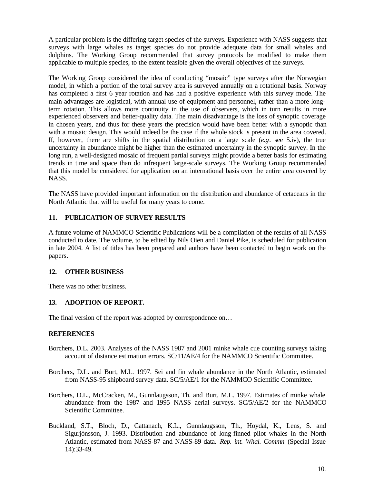A particular problem is the differing target species of the surveys. Experience with NASS suggests that surveys with large whales as target species do not provide adequate data for small whales and dolphins. The Working Group recommended that survey protocols be modified to make them applicable to multiple species, to the extent feasible given the overall objectives of the surveys.

The Working Group considered the idea of conducting "mosaic" type surveys after the Norwegian model, in which a portion of the total survey area is surveyed annually on a rotational basis. Norway has completed a first 6 year rotation and has had a positive experience with this survey mode. The main advantages are logistical, with annual use of equipment and personnel, rather than a more longterm rotation. This allows more continuity in the use of observers, which in turn results in more experienced observers and better-quality data. The main disadvantage is the loss of synoptic coverage in chosen years, and thus for these years the precision would have been better with a synoptic than with a mosaic design. This would indeed be the case if the whole stock is present in the area covered. If, however, there are shifts in the spatial distribution on a large scale (*e.g*. see 5.iv), the true uncertainty in abundance might be higher than the estimated uncertainty in the synoptic survey. In the long run, a well-designed mosaic of frequent partial surveys might provide a better basis for estimating trends in time and space than do infrequent large-scale surveys. The Working Group recommended that this model be considered for application on an international basis over the entire area covered by NASS.

The NASS have provided important information on the distribution and abundance of cetaceans in the North Atlantic that will be useful for many years to come.

## **11. PUBLICATION OF SURVEY RESULTS**

A future volume of NAMMCO Scientific Publications will be a compilation of the results of all NASS conducted to date. The volume, to be edited by Nils Oien and Daniel Pike, is scheduled for publication in late 2004. A list of titles has been prepared and authors have been contacted to begin work on the papers.

## **12. OTHER BUSINESS**

There was no other business.

## **13. ADOPTION OF REPORT.**

The final version of the report was adopted by correspondence on…

#### **REFERENCES**

- Borchers, D.L. 2003. Analyses of the NASS 1987 and 2001 minke whale cue counting surveys taking account of distance estimation errors. SC/11/AE/4 for the NAMMCO Scientific Committee.
- Borchers, D.L. and Burt, M.L. 1997. Sei and fin whale abundance in the North Atlantic, estimated from NASS-95 shipboard survey data. SC/5/AE/1 for the NAMMCO Scientific Committee.
- Borchers, D.L., McCracken, M., Gunnlaugsson, Th. and Burt, M.L. 1997. Estimates of minke whale abundance from the 1987 and 1995 NASS aerial surveys. SC/5/AE/2 for the NAMMCO Scientific Committee.
- Buckland, S.T., Bloch, D., Cattanach, K.L., Gunnlaugsson, Th., Hoydal, K., Lens, S. and Sigurjónsson, J. 1993. Distribution and abundance of long-finned pilot whales in the North Atlantic, estimated from NASS-87 and NASS-89 data. *Rep. int. Whal. Commn* (Special Issue 14):33-49.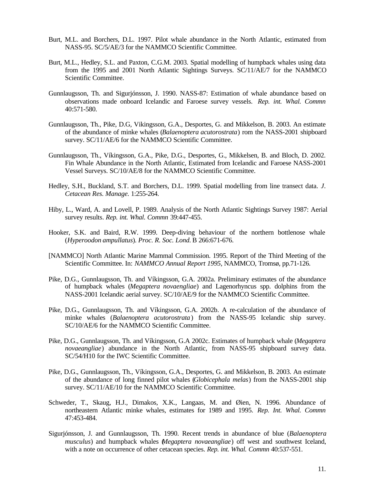- Burt, M.L. and Borchers, D.L. 1997. Pilot whale abundance in the North Atlantic, estimated from NASS-95. SC/5/AE/3 for the NAMMCO Scientific Committee.
- Burt, M.L., Hedley, S.L. and Paxton, C.G.M. 2003. Spatial modelling of humpback whales using data from the 1995 and 2001 North Atlantic Sightings Surveys. SC/11/AE/7 for the NAMMCO Scientific Committee.
- Gunnlaugsson, Th. and Sigurjónsson, J. 1990. NASS-87: Estimation of whale abundance based on observations made onboard Icelandic and Faroese survey vessels. *Rep. int. Whal. Commn* 40:571-580.
- Gunnlaugsson, Th., Pike, D.G, Vikingsson, G.A., Desportes, G. and Mikkelson, B. 2003. An estimate of the abundance of minke whales (*Balaenoptera acutorostrata*) rom the NASS-2001 shipboard survey. SC/11/AE/6 for the NAMMCO Scientific Committee.
- Gunnlaugsson, Th., Víkingsson, G.A., Pike, D.G., Desportes, G., Mikkelsen, B. and Bloch, D. 2002. Fin Whale Abundance in the North Atlantic, Estimated from Icelandic and Faroese NASS-2001 Vessel Surveys. SC/10/AE/8 for the NAMMCO Scientific Committee.
- Hedley, S.H., Buckland, S.T. and Borchers, D.L. 1999. Spatial modelling from line transect data. *J. Cetacean Res. Manage.* 1:255-264.
- Hiby, L., Ward, A. and Lovell, P. 1989. Analysis of the North Atlantic Sightings Survey 1987: Aerial survey results. *Rep. int. Whal. Commn* 39:447-455.
- Hooker, S.K. and Baird, R.W. 1999. Deep-diving behaviour of the northern bottlenose whale (*Hyperoodon ampullatus*). *Proc. R. Soc. Lond.* B 266:671-676.
- [NAMMCO] North Atlantic Marine Mammal Commission. 1995. Report of the Third Meeting of the Scientific Committee. In: *NAMMCO Annual Report 1995*, NAMMCO, Tromsø, pp.71-126.
- Pike, D.G., Gunnlaugsson, Th. and Víkingsson, G.A. 2002a. Preliminary estimates of the abundance of humpback whales (*Megaptera novaengliae*) and Lagenorhyncus spp. dolphins from the NASS-2001 Icelandic aerial survey. SC/10/AE/9 for the NAMMCO Scientific Committee.
- Pike, D.G., Gunnlaugsson, Th. and Víkingsson, G.A. 2002b. A re-calculation of the abundance of minke whales (*Balaenoptera acutorostrata*) from the NASS-95 Icelandic ship survey. SC/10/AE/6 for the NAMMCO Scientific Committee.
- Pike, D.G., Gunnlaugsson, Th. and Víkingsson, G.A 2002c. Estimates of humpback whale (*Megaptera novaeangliae*) abundance in the North Atlantic, from NASS-95 shipboard survey data. SC/54/H10 for the IWC Scientific Committee.
- Pike, D.G., Gunnlaugsson, Th., Víkingsson, G.A., Desportes, G. and Mikkelson, B. 2003. An estimate of the abundance of long finned pilot whales (*Globicephala melas*) from the NASS-2001 ship survey. SC/11/AE/10 for the NAMMCO Scientific Committee.
- Schweder, T., Skaug, H.J., Dimakos, X.K., Langaas, M. and Øien, N. 1996. Abundance of northeastern Atlantic minke whales, estimates for 1989 and 1995. *Rep. Int. Whal. Commn* 47:453-484.
- Sigurjónsson, J. and Gunnlaugsson, Th. 1990. Recent trends in abundance of blue (*Balaenoptera musculus*) and humpback whales (*Megaptera novaeangliae*) off west and southwest Iceland, with a note on occurrence of other cetacean species. *Rep. int. Whal. Commn* 40:537-551.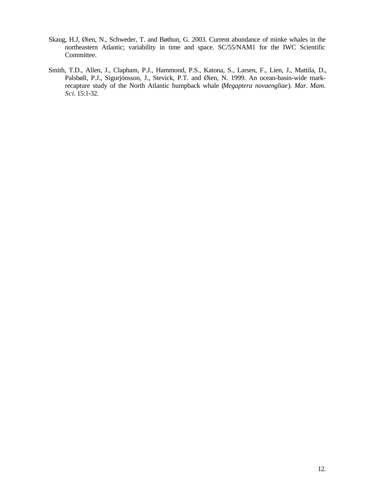- Skaug, H.J, Øien, N., Schweder, T. and Bøthun, G. 2003. Current abundance of minke whales in the northeastern Atlantic; variability in time and space. SC/55/NAM1 for the IWC Scientific Committee.
- Smith, T.D., Allen, J., Clapham, P.J., Hammond, P.S., Katona, S., Larsen, F., Lien, J., Mattila, D., Palsbøll, P.J., Sigurjónsson, J., Stevick, P.T. and Øien, N. 1999. An ocean-basin-wide markrecapture study of the North Atlantic humpback whale (*Megaptera novaengliae*). *Mar. Mam. Sci*. 15:1-32.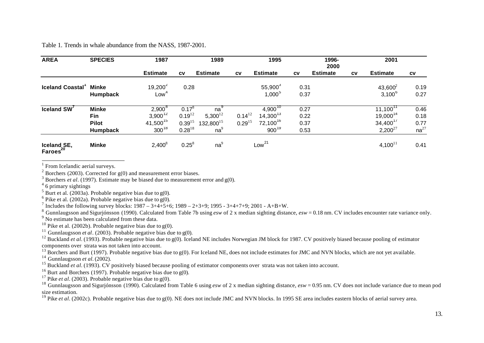Table 1. Trends in whale abundance from the NASS, 1987-2001.

| <b>AREA</b>                                     | <b>SPECIES</b>  | 1987                 |             | 1989            |             | 1995              |           | 1996-<br>2000   |           | 2001                 |           |
|-------------------------------------------------|-----------------|----------------------|-------------|-----------------|-------------|-------------------|-----------|-----------------|-----------|----------------------|-----------|
|                                                 |                 | <b>Estimate</b>      | <b>CV</b>   | <b>Estimate</b> | <b>CV</b>   | <b>Estimate</b>   | <b>CV</b> | <b>Estimate</b> | <b>CV</b> | <b>Estimate</b>      | <b>CV</b> |
| <b>Iceland Coastal</b>                          | <b>Minke</b>    | $19,200^2$           | 0.28        |                 |             | $55,900^3$        | 0.31      |                 |           | $43,600^2$           | 0.19      |
|                                                 | <b>Humpback</b> | Low <sup>4</sup>     |             |                 |             | $1,000^{5}$       | 0.37      |                 |           | $3,100^{6}$          | 0.27      |
| Iceland SW'                                     | <b>Minke</b>    | $2,900^8$            | $0.17^8$    | $na^3$          |             | $4,900^{10}$      | 0.27      |                 |           | $11,100^{11}$        | 0.46      |
|                                                 | Fin             | $3,900^{12}$         | $0.19^{12}$ | $5,300^{12}$    | $0.14^{12}$ | $14,300^{13}$     | 0.22      |                 |           | 19,000 <sup>14</sup> | 0.18      |
|                                                 | <b>Pilot</b>    | 41,500 <sup>15</sup> | $0.39^{15}$ | $132,800^{15}$  | $0.29^{15}$ | $72,100^{16}$     | 0.37      |                 |           | $34,400^{17}$        | 0.77      |
|                                                 | Humpback        | $300^{18}$           | $0.28^{18}$ | na <sup>9</sup> |             | $900^{19}$        | 0.53      |                 |           | $2,200^{27}$         | $na^{27}$ |
| Iceland <sub>SE</sub> ,<br>Farces <sup>20</sup> | <b>Minke</b>    | $2,400^8$            | $0.25^8$    | na <sup>9</sup> |             | Low <sup>21</sup> |           |                 |           | $4,100^{11}$         | 0.41      |

<sup>1</sup> From Icelandic aerial surveys.

 $2^2$  Borchers (2003). Corrected for g(0) and measurement error biases.

<sup>3</sup> Borchers *et al.* (1997). Estimate may be biased due to measurement error and  $g(0)$ .

4 6 primary sightings

 $<sup>5</sup>$  Burt et al. (2003a). Probable negative bias due to g(0).</sup>

<sup>6</sup> Pike et al. (2002a). Probable negative bias due to  $g(0)$ .

<sup>7</sup> Includes the following survey blocks:  $1987 - 3 + 4 + 5 + 6$ ;  $1989 - 2 + 3 + 9$ ;  $1995 - 3 + 4 + 7 + 9$ ;  $2001 - A + B + W$ .

<sup>8</sup> Gunnlaugsson and Sigurjónsson (1990). Calculated from Table 7b using *esw* of 2 x median sighting distance, *esw* = 0.18 nm. CV includes encounter rate variance only.

<sup>9</sup> No estimate has been calculated from these data.

<sup>10</sup> Pike et al. (2002b). Probable negative bias due to  $g(0)$ .

<sup>11</sup> Gunnlaugsson *et al.* (2003). Probable negative bias due to  $g(0)$ .

<sup>12</sup> Buckland *et al.* (1993). Probable negative bias due to g(0). Iceland NE includes Norwegian JM block for 1987. CV positively biased because pooling of estimator components over strata was not taken into account.

<sup>13</sup> Borchers and Burt (1997). Probable negative bias due to g(0). For Iceland NE, does not include estimates for JMC and NVN blocks, which are not yet available.

<sup>14</sup> Gunnlaugsson *et al.* (2002).

<sup>15</sup> Buckland *et al.* (1993). CV positively biased because pooling of estimator components over strata was not taken into account.

<sup>16</sup> Burt and Borchers (1997). Probable negative bias due to  $g(0)$ .

<sup>17</sup> Pike *et al.* (2003). Probable negative bias due to  $g(0)$ .

<sup>18</sup> Gunnlaugsson and Siguriónsson (1990). Calculated from Table 6 using *esw* of 2 x median sighting distance, *esw* = 0.95 nm. CV does not include variance due to mean pod size estimation.

<sup>19</sup> Pike *et al.* (2002c). Probable negative bias due to g(0). NE does not include JMC and NVN blocks. In 1995 SE area includes eastern blocks of aerial survey area.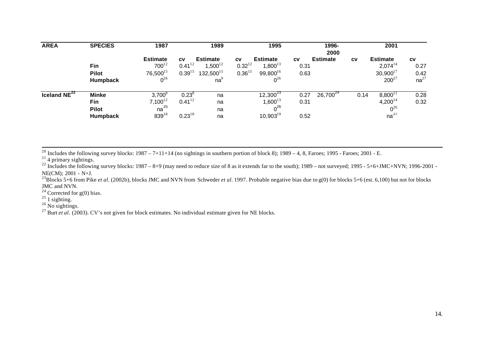| <b>AREA</b>              | <b>SPECIES</b>                                         | 1987                                                              |                                         | 1989                                                    |                                         | 1995                                                         |                           | 1996-<br>2000   |           | 2001                                                           |                                        |
|--------------------------|--------------------------------------------------------|-------------------------------------------------------------------|-----------------------------------------|---------------------------------------------------------|-----------------------------------------|--------------------------------------------------------------|---------------------------|-----------------|-----------|----------------------------------------------------------------|----------------------------------------|
|                          | Fin<br><b>Pilot</b><br>Humpback                        | <b>Estimate</b><br>$700^{12}$<br>76,500 <sup>15</sup><br>$0^{26}$ | <b>CV</b><br>$0.41^{12}$<br>$0.39^{15}$ | <b>Estimate</b><br>$1,500^{12}$<br>$132,500^{15}$<br>na | <b>CV</b><br>$0.32^{12}$<br>$0.36^{15}$ | <b>Estimate</b><br>$1,800^{13}$<br>$99,800^{16}$<br>$0^{26}$ | <b>CV</b><br>0.31<br>0.63 | <b>Estimate</b> | <b>CV</b> | <b>Estimate</b><br>$2,074^{14}$<br>$30,900^{17}$<br>$200^{27}$ | <b>CV</b><br>0.27<br>0.42<br>$na^{27}$ |
| Iceland NE <sup>22</sup> | <b>Minke</b><br>Fin<br><b>Pilot</b><br><b>Humpback</b> | $3,700^8$<br>$7,100^{12}$<br>na $^{25}$<br>$839^{18}$             | $0.23^8$<br>$0.41^{12}$<br>$0.23^{18}$  | na<br>na<br>na<br>na                                    |                                         | $12,300^{23}$<br>$1,600^{13}$<br>$0^{26}$<br>$10,903^{19}$   | 0.27<br>0.31<br>0.52      | $26,700^{24}$   | 0.14      | $8,800^{11}$<br>$4,200^{14}$<br>$0^{26}$<br>$na^{27}$          | 0.28<br>0.32                           |

<sup>20</sup> Includes the following survey blocks:  $1987 - 7 + 11 + 14$  (no sightings in southern portion of block 8);  $1989 - 4$ , 8, Faroes;  $1995$  - Faroes;  $2001$  - E.

 $21$  4 primary sightings.

<sup>22</sup> Includes the following survey blocks: 1987 – 8+9 (may need to reduce size of 8 as it extends far to the south); 1989 – not surveyed; 1995 - 5+6+JMC+NVN; 1996-2001 -NE(CM); 2001 - N+J.

<sup>23</sup>Blocks 5+6 from Pike *et al.* (2002b), blocks JMC and NVN from Schweder *et al.* 1997. Probable negative bias due to g(0) for blocks 5+6 (est. 6,100) but not for blocks JMC and NVN.

<sup>24</sup> Corrected for  $g(0)$  bias.

 $^{25}$  1 sighting.

l

 $26$  No sightings.

 $^{27}$  Burt *et al.* (2003). CV's not given for block estimates. No individual estimate given for NE blocks.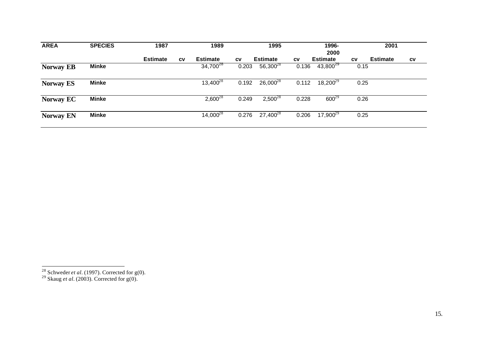| <b>AREA</b>      | <b>SPECIES</b> | 1987            |           | 1989            |           | 1995                         |           | 1996-<br>2000         |           | 2001                         |  |
|------------------|----------------|-----------------|-----------|-----------------|-----------|------------------------------|-----------|-----------------------|-----------|------------------------------|--|
|                  |                | <b>Estimate</b> | <b>CV</b> | <b>Estimate</b> | <b>CV</b> | <b>Estimate</b>              | <b>CV</b> | <b>Estimate</b>       | <b>CV</b> | <b>Estimate</b><br><b>CV</b> |  |
| <b>Norway EB</b> | <b>Minke</b>   |                 |           | $34,700^{28}$   | 0.203     | $56,300^{28}$                | 0.136     | $43,800^{29}$         | 0.15      |                              |  |
| <b>Norway ES</b> | <b>Minke</b>   |                 |           | $13,400^{28}$   |           | $0.192$ 26,000 <sup>28</sup> |           | $0.112$ $18.200^{29}$ | 0.25      |                              |  |
| <b>Norway EC</b> | <b>Minke</b>   |                 |           | $2,600^{28}$    | 0.249     | $2,500^{28}$                 | 0.228     | $600^{29}$            | 0.26      |                              |  |
| <b>Norway EN</b> | <b>Minke</b>   |                 |           | $14,000^{28}$   | 0.276     | $27,400^{28}$                | 0.206     | $17,900^{29}$         | 0.25      |                              |  |

l

<sup>&</sup>lt;sup>28</sup> Schweder *et al.* (1997). Corrected for  $g(0)$ .

<sup>&</sup>lt;sup>29</sup> Skaug *et al.* (2003). Corrected for  $g(0)$ .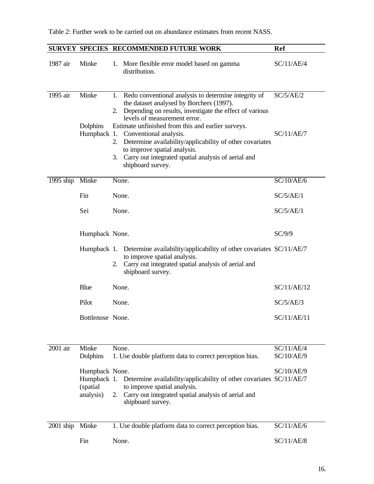|             |                                                         | SURVEY SPECIES RECOMMENDED FUTURE WORK                                                                                                                                                                                                                           | <b>Ref</b>  |
|-------------|---------------------------------------------------------|------------------------------------------------------------------------------------------------------------------------------------------------------------------------------------------------------------------------------------------------------------------|-------------|
| 1987 air    | Minke                                                   | More flexible error model based on gamma<br>1.<br>distribution.                                                                                                                                                                                                  | SC/11/AE/4  |
| 1995 air    | Minke                                                   | Redo conventional analysis to determine integrity of<br>1.<br>the dataset analysed by Borchers (1997).<br>Depending on results, investigate the effect of various<br>2.<br>levels of measurement error.                                                          | SC/5/AE/2   |
|             | Dolphins<br>Humpback 1.                                 | Estimate unfinished from this and earlier surveys.<br>Conventional analysis.<br>Determine availability/applicability of other covariates<br>2.<br>to improve spatial analysis.<br>Carry out integrated spatial analysis of aerial and<br>3.<br>shipboard survey. | SC/11/AE/7  |
| 1995 ship   | Minke                                                   | None.                                                                                                                                                                                                                                                            | SC/10/AE/6  |
|             | Fin                                                     | None.                                                                                                                                                                                                                                                            | SC/5/AE/1   |
|             | Sei                                                     | None.                                                                                                                                                                                                                                                            | SC/5/AE/1   |
|             | Humpback None.                                          |                                                                                                                                                                                                                                                                  | SC/9/9      |
|             |                                                         | Humpback 1. Determine availability/applicability of other covariates SC/11/AE/7<br>to improve spatial analysis.<br>Carry out integrated spatial analysis of aerial and<br>2.<br>shipboard survey.                                                                |             |
|             | Blue                                                    | None.                                                                                                                                                                                                                                                            | SC/11/AE/12 |
|             | Pilot                                                   | None.                                                                                                                                                                                                                                                            | SC/5/AE/3   |
|             | Bottlenose None.                                        |                                                                                                                                                                                                                                                                  | SC/11/AE/11 |
| 2001 air    | Minke                                                   | None.                                                                                                                                                                                                                                                            | SC/11/AE/4  |
|             | Dolphins                                                | 1. Use double platform data to correct perception bias.                                                                                                                                                                                                          | SC/10/AE/9  |
|             | Humpback None.<br>Humpback 1.<br>(spatial)<br>analysis) | Determine availability/applicability of other covariates SC/11/AE/7<br>to improve spatial analysis.<br>Carry out integrated spatial analysis of aerial and<br>2.<br>shipboard survey.                                                                            | SC/10/AE/9  |
| $2001$ ship | Minke                                                   | 1. Use double platform data to correct perception bias.                                                                                                                                                                                                          | SC/11/AE/6  |
|             | Fin                                                     | None.                                                                                                                                                                                                                                                            | SC/11/AE/8  |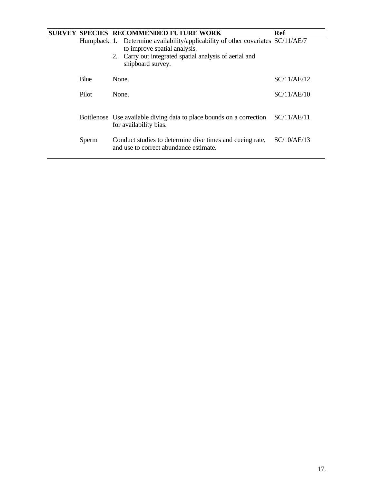| <b>SURVEY</b> |       | <b>SPECIES RECOMMENDED FUTURE WORK</b>                                                                          | Ref         |
|---------------|-------|-----------------------------------------------------------------------------------------------------------------|-------------|
|               |       | Humpback 1. Determine availability/applicability of other covariates SC/11/AE/7<br>to improve spatial analysis. |             |
|               |       | Carry out integrated spatial analysis of aerial and<br>2.<br>shipboard survey.                                  |             |
|               | Blue  | None.                                                                                                           | SC/11/AE/12 |
|               | Pilot | None.                                                                                                           | SC/11/AE/10 |
|               |       | Bottlenose Use available diving data to place bounds on a correction<br>for availability bias.                  | SC/11/AE/11 |
|               | Sperm | Conduct studies to determine dive times and cueing rate,<br>and use to correct abundance estimate.              | SC/10/AE/13 |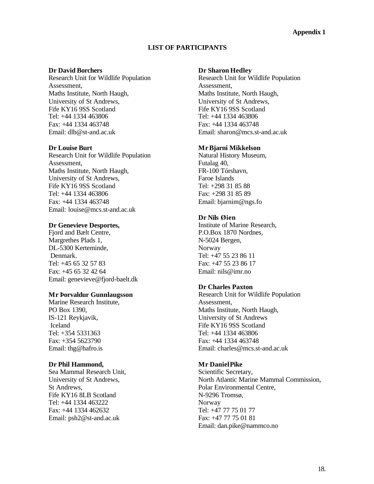## **LIST OF PARTICIPANTS**

#### **Dr David Borchers**

Research Unit for Wildlife Population Assessment, Maths Institute, North Haugh, University of St Andrews, Fife KY16 9SS Scotland Tel: +44 1334 463806 Fax: +44 1334 463748 Email: dlb@st-and.ac.uk

#### **Dr Louise Burt**

Research Unit for Wildlife Population Assessment, Maths Institute, North Haugh, University of St Andrews, Fife KY16 9SS Scotland Tel: +44 1334 463806 Fax: +44 1334 463748 Email: louise@mcs.st-and.ac.uk

#### **Dr Genevieve Desportes,**

Fjord and Bælt Centre, Margrethes Plads 1, DL-5300 Kerteminde, Denmark. Tel: +45 65 32 57 83 Fax: +45 65 32 42 64 Email: genevieve@fjord-baelt.dk

#### **Mr Þorvaldur Gunnlaugsson**

Marine Research Institute, PO Box 1390, IS-121 Reykjavik, Iceland Tel: +354 5331363 Fax: +354 5623790 Email: thg@hafro.is

#### **Dr Phil Hammond,**

Sea Mammal Research Unit, University of St Andrews, St Andrews, Fife KY16 8LB Scotland Tel: +44 1334 463222 Fax: +44 1334 462632 Email: psh2@st-and.ac.uk

#### **Dr Sharon Hedley**

Research Unit for Wildlife Population Assessment, Maths Institute, North Haugh, University of St Andrews, Fife KY16 9SS Scotland Tel: +44 1334 463806 Fax: +44 1334 463748 Email: sharon@mcs.st-and.ac.uk

#### **MrBjarni Mikkelson**

Natural History Museum, Futalag 40, FR-100 Tórshavn, Faroe Islands Tel: +298 31 85 88 Fax: +298 31 85 89 Email: bjarnim@ngs.fo

#### **Dr Nils Øien**

Institute of Marine Research, P.O.Box 1870 Nordnes, N-5024 Bergen, Norway Tel: +47 55 23 86 11 Fax: +47 55 23 86 17 Email: nils@imr.no

#### **Dr Charles Paxton**

Research Unit for Wildlife Population Assessment, Maths Institute, North Haugh, University of St Andrews Fife KY16 9SS Scotland Tel: +44 1334 463806 Fax: +44 1334 463748 Email: charles@mcs.st-and.ac.uk

## **Mr DanielPike**

Scientific Secretary, North Atlantic Marine Mammal Commission, Polar Environmental Centre, N-9296 Tromsø, Norway Tel: +47 77 75 01 77 Fax: +47 77 75 01 81 Email: dan.pike@nammco.no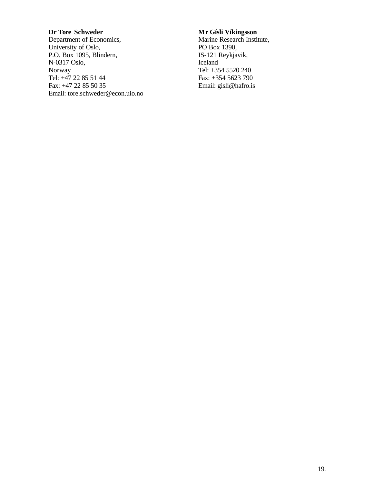## **Dr Tore Schweder**

Department of Economics, University of Oslo, P.O. Box 1095, Blindern, N-0317 Oslo, Norway Tel: +47 22 85 51 44 Fax: +47 22 85 50 35 Email: tore.schweder@econ.uio.no

# **Mr Gísli Víkingsson**

Marine Research Institute, PO Box 1390, IS-121 Reykjavik, Iceland Tel: +354 5520 240 Fax: +354 5623 790 Email: gisli@hafro.is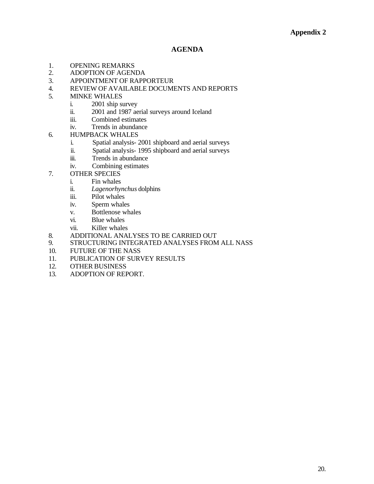#### **AGENDA**

- 1. OPENING REMARKS
- 2. ADOPTION OF AGENDA
- 3. APPOINTMENT OF RAPPORTEUR
- 4. REVIEW OF AVAILABLE DOCUMENTS AND REPORTS

#### 5. MINKE WHALES

- i. 2001 ship survey
- ii. 2001 and 1987 aerial surveys around Iceland
- iii. Combined estimates
- iv. Trends in abundance
- 6. HUMPBACK WHALES
	- i. Spatial analysis- 2001 shipboard and aerial surveys
	- ii. Spatial analysis- 1995 shipboard and aerial surveys
	- iii. Trends in abundance
	- iv. Combining estimates
- 7. OTHER SPECIES
	- i. Fin whales
	- ii. *Lagenorhynchus* dolphins
	- iii. Pilot whales
	- iv. Sperm whales
	- v. Bottlenose whales
	- vi. Blue whales
	- vii. Killer whales
- 8. ADDITIONAL ANALYSES TO BE CARRIED OUT
- 9. STRUCTURING INTEGRATED ANALYSES FROM ALL NASS
- 10. FUTURE OF THE NASS
- 11. PUBLICATION OF SURVEY RESULTS
- 12. OTHER BUSINESS
- 13. ADOPTION OF REPORT.